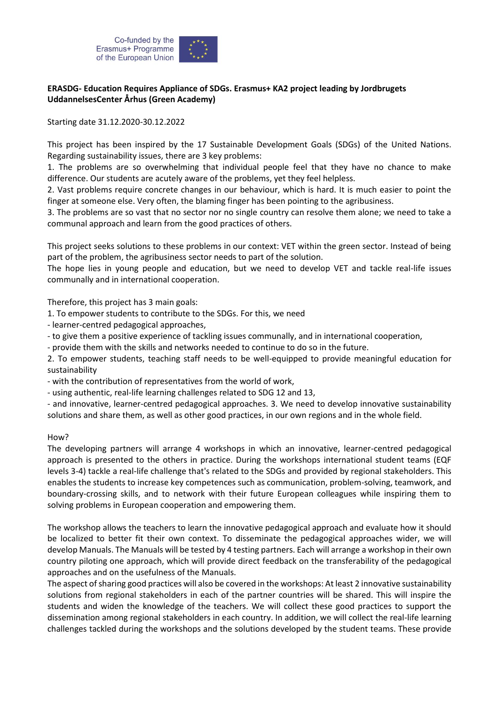

## **ERASDG- Education Requires Appliance of SDGs. Erasmus+ KA2 project leading by Jordbrugets UddannelsesCenter Århus (Green Academy)**

Starting date 31.12.2020-30.12.2022

This project has been inspired by the 17 Sustainable Development Goals (SDGs) of the United Nations. Regarding sustainability issues, there are 3 key problems:

1. The problems are so overwhelming that individual people feel that they have no chance to make difference. Our students are acutely aware of the problems, yet they feel helpless.

2. Vast problems require concrete changes in our behaviour, which is hard. It is much easier to point the finger at someone else. Very often, the blaming finger has been pointing to the agribusiness.

3. The problems are so vast that no sector nor no single country can resolve them alone; we need to take a communal approach and learn from the good practices of others.

This project seeks solutions to these problems in our context: VET within the green sector. Instead of being part of the problem, the agribusiness sector needs to part of the solution.

The hope lies in young people and education, but we need to develop VET and tackle real-life issues communally and in international cooperation.

Therefore, this project has 3 main goals:

- 1. To empower students to contribute to the SDGs. For this, we need
- learner-centred pedagogical approaches,
- to give them a positive experience of tackling issues communally, and in international cooperation,
- provide them with the skills and networks needed to continue to do so in the future.

2. To empower students, teaching staff needs to be well-equipped to provide meaningful education for sustainability

- with the contribution of representatives from the world of work,

- using authentic, real-life learning challenges related to SDG 12 and 13,

- and innovative, learner-centred pedagogical approaches. 3. We need to develop innovative sustainability solutions and share them, as well as other good practices, in our own regions and in the whole field.

## How?

The developing partners will arrange 4 workshops in which an innovative, learner-centred pedagogical approach is presented to the others in practice. During the workshops international student teams (EQF levels 3-4) tackle a real-life challenge that's related to the SDGs and provided by regional stakeholders. This enables the students to increase key competences such as communication, problem-solving, teamwork, and boundary-crossing skills, and to network with their future European colleagues while inspiring them to solving problems in European cooperation and empowering them.

The workshop allows the teachers to learn the innovative pedagogical approach and evaluate how it should be localized to better fit their own context. To disseminate the pedagogical approaches wider, we will develop Manuals. The Manuals will be tested by 4 testing partners. Each will arrange a workshop in their own country piloting one approach, which will provide direct feedback on the transferability of the pedagogical approaches and on the usefulness of the Manuals.

The aspect of sharing good practices will also be covered in the workshops: At least 2 innovative sustainability solutions from regional stakeholders in each of the partner countries will be shared. This will inspire the students and widen the knowledge of the teachers. We will collect these good practices to support the dissemination among regional stakeholders in each country. In addition, we will collect the real-life learning challenges tackled during the workshops and the solutions developed by the student teams. These provide